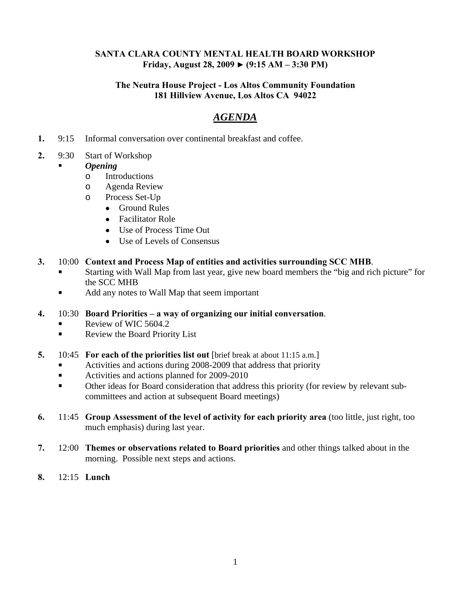#### **SANTA CLARA COUNTY MENTAL HEALTH BOARD WORKSHOP Friday, August 28, 2009 ► (9:15 AM – 3:30 PM)**

#### **The Neutra House Project - Los Altos Community Foundation 181 Hillview Avenue, Los Altos CA 94022**

# *AGENDA*

- **1.** 9:15 Informal conversation over continental breakfast and coffee.
- **2.** 9:30 Start of Workshop

#### *Opening*

- o Introductions
- o Agenda Review
- o Process Set-Up
	- Ground Rules
	- Facilitator Role
	- Use of Process Time Out
	- Use of Levels of Consensus
- **3.** 10:00 **Context and Process Map of entities and activities surrounding SCC MHB**.
	- Starting with Wall Map from last year, give new board members the "big and rich picture" for the SCC MHB
	- Add any notes to Wall Map that seem important
- **4.** 10:30 **Board Priorities a way of organizing our initial conversation**.
	- Review of WIC 5604.2
	- Review the Board Priority List
- **5.** 10:45 **For each of the priorities list out** [brief break at about 11:15 a.m.]
	- Activities and actions during 2008-2009 that address that priority
	- Activities and actions planned for 2009-2010
	- Other ideas for Board consideration that address this priority (for review by relevant subcommittees and action at subsequent Board meetings)
- **6.** 11:45 **Group Assessment of the level of activity for each priority area** (too little, just right, too much emphasis) during last year.
- **7.** 12:00 **Themes or observations related to Board priorities** and other things talked about in the morning. Possible next steps and actions.
- **8.** 12:15 **Lunch**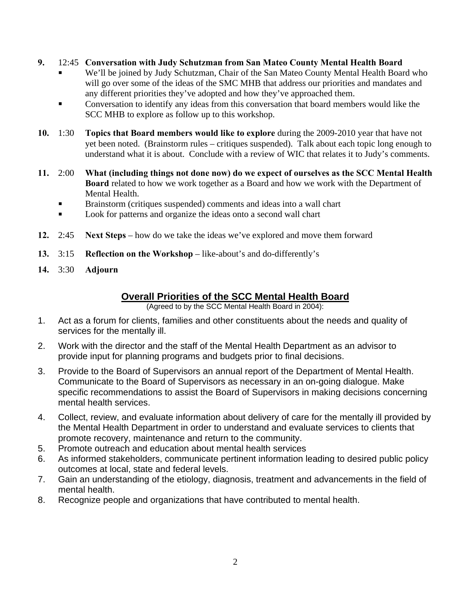- **9.** 12:45 **Conversation with Judy Schutzman from San Mateo County Mental Health Board**
	- We'll be joined by Judy Schutzman, Chair of the San Mateo County Mental Health Board who will go over some of the ideas of the SMC MHB that address our priorities and mandates and any different priorities they've adopted and how they've approached them.
	- Conversation to identify any ideas from this conversation that board members would like the SCC MHB to explore as follow up to this workshop.
- **10.** 1:30 **Topics that Board members would like to explore** during the 2009-2010 year that have not yet been noted. (Brainstorm rules – critiques suspended). Talk about each topic long enough to understand what it is about. Conclude with a review of WIC that relates it to Judy's comments.
- **11.** 2:00 **What (including things not done now) do we expect of ourselves as the SCC Mental Health Board** related to how we work together as a Board and how we work with the Department of Mental Health.
	- Brainstorm (critiques suspended) comments and ideas into a wall chart
	- Look for patterns and organize the ideas onto a second wall chart
- **12.** 2:45 **Next Steps** how do we take the ideas we've explored and move them forward
- **13.** 3:15 **Reflection on the Workshop** like-about's and do-differently's
- **14.** 3:30 **Adjourn**

## **Overall Priorities of the SCC Mental Health Board**

(Agreed to by the SCC Mental Health Board in 2004):

- 1. Act as a forum for clients, families and other constituents about the needs and quality of services for the mentally ill.
- 2. Work with the director and the staff of the Mental Health Department as an advisor to provide input for planning programs and budgets prior to final decisions.
- 3. Provide to the Board of Supervisors an annual report of the Department of Mental Health. Communicate to the Board of Supervisors as necessary in an on-going dialogue. Make specific recommendations to assist the Board of Supervisors in making decisions concerning mental health services.
- 4. Collect, review, and evaluate information about delivery of care for the mentally ill provided by the Mental Health Department in order to understand and evaluate services to clients that promote recovery, maintenance and return to the community.
- 5. Promote outreach and education about mental health services
- 6. As informed stakeholders, communicate pertinent information leading to desired public policy outcomes at local, state and federal levels.
- 7. Gain an understanding of the etiology, diagnosis, treatment and advancements in the field of mental health.
- 8. Recognize people and organizations that have contributed to mental health.